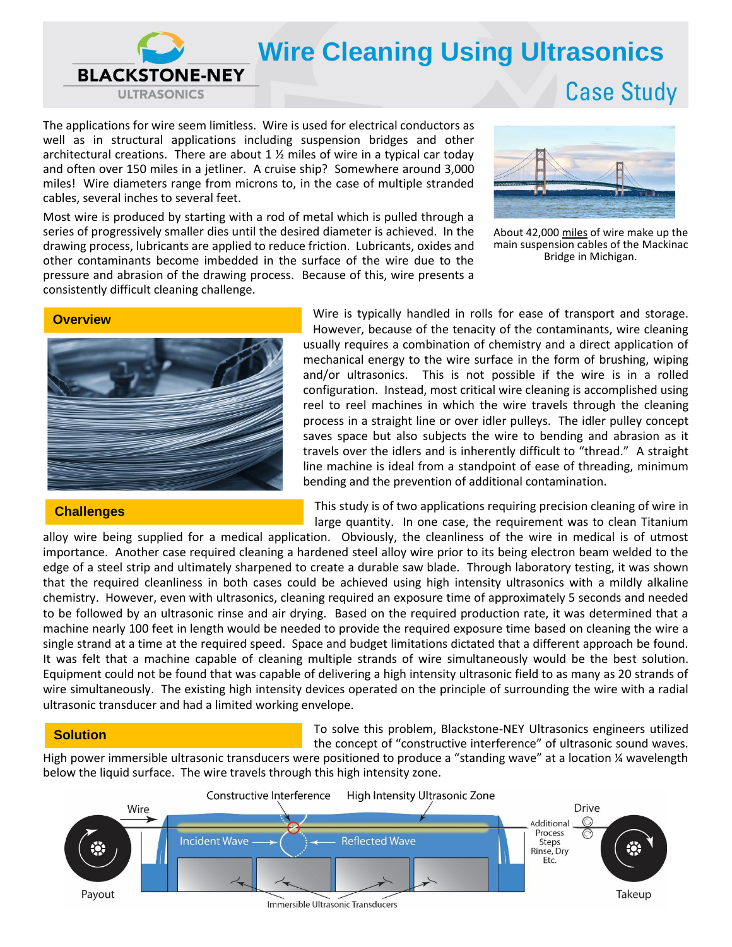

The applications for wire seem limitless. Wire is used for electrical conductors as well as in structural applications including suspension bridges and other architectural creations. There are about  $1 \frac{1}{2}$  miles of wire in a typical car today and often over 150 miles in a jetliner. A cruise ship? Somewhere around 3,000 miles! Wire diameters range from microns to, in the case of multiple stranded cables, several inches to several feet.

Most wire is produced by starting with a rod of metal which is pulled through a series of progressively smaller dies until the desired diameter is achieved. In the drawing process, lubricants are applied to reduce friction. Lubricants, oxides and other contaminants become imbedded in the surface of the wire due to the pressure and abrasion of the drawing process. Because of this, wire presents a consistently difficult cleaning challenge.



About 42,000 miles of wire make up the main suspension cables of the Mackinac Bridge in Michigan.



#### **Challenges**

Wire is typically handled in rolls for ease of transport and storage. However, because of the tenacity of the contaminants, wire cleaning usually requires a combination of chemistry and a direct application of mechanical energy to the wire surface in the form of brushing, wiping and/or ultrasonics. This is not possible if the wire is in a rolled configuration. Instead, most critical wire cleaning is accomplished using reel to reel machines in which the wire travels through the cleaning process in a straight line or over idler pulleys. The idler pulley concept saves space but also subjects the wire to bending and abrasion as it travels over the idlers and is inherently difficult to "thread." A straight line machine is ideal from a standpoint of ease of threading, minimum bending and the prevention of additional contamination.

This study is of two applications requiring precision cleaning of wire in large quantity. In one case, the requirement was to clean Titanium

alloy wire being supplied for a medical application. Obviously, the cleanliness of the wire in medical is of utmost importance. Another case required cleaning a hardened steel alloy wire prior to its being electron beam welded to the edge of a steel strip and ultimately sharpened to create a durable saw blade. Through laboratory testing, it was shown that the required cleanliness in both cases could be achieved using high intensity ultrasonics with a mildly alkaline chemistry. However, even with ultrasonics, cleaning required an exposure time of approximately 5 seconds and needed to be followed by an ultrasonic rinse and air drying. Based on the required production rate, it was determined that a machine nearly 100 feet in length would be needed to provide the required exposure time based on cleaning the wire a single strand at a time at the required speed. Space and budget limitations dictated that a different approach be found. It was felt that a machine capable of cleaning multiple strands of wire simultaneously would be the best solution. Equipment could not be found that was capable of delivering a high intensity ultrasonic field to as many as 20 strands of wire simultaneously. The existing high intensity devices operated on the principle of surrounding the wire with a radial ultrasonic transducer and had a limited working envelope.

## **Solution**

To solve this problem, Blackstone-NEY Ultrasonics engineers utilized the concept of "constructive interference" of ultrasonic sound waves.

High power immersible ultrasonic transducers were positioned to produce a "standing wave" at a location ¼ wavelength below the liquid surface. The wire travels through this high intensity zone.